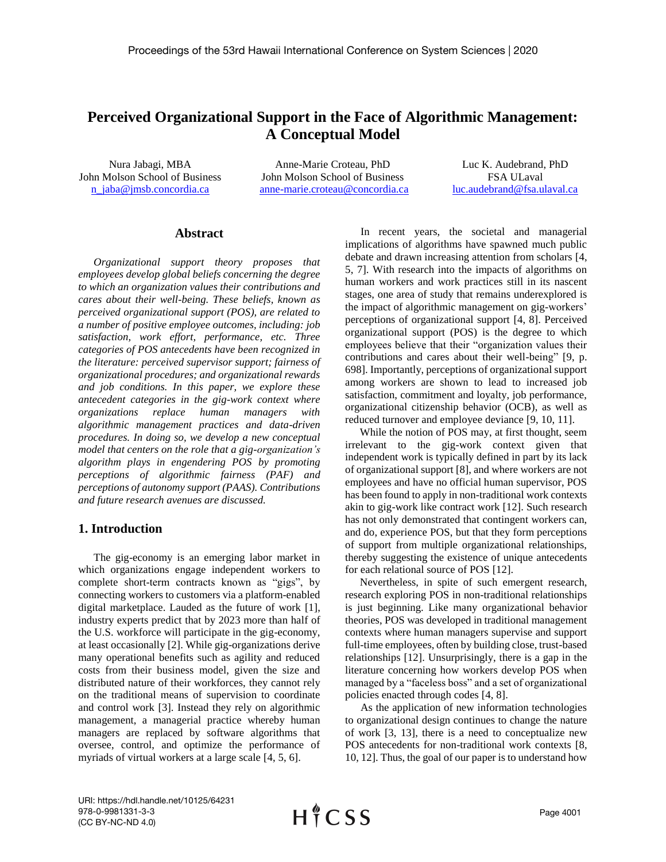# **Perceived Organizational Support in the Face of Algorithmic Management: A Conceptual Model**

Nura Jabagi, MBA John Molson School of Business [n\\_jaba@jmsb.concordia.ca](mailto:n_jaba@jmsb.concordia.ca)

Anne-Marie Croteau, PhD John Molson School of Business [anne-marie.croteau@concordia.ca](mailto:anne-marie.croteau@concordia.ca) 

Luc K. Audebrand, PhD FSA ULaval [luc.audebrand@fsa.ulaval.ca](mailto:luc.audebrand@fsa.ulaval.ca) 

# **Abstract**

*Organizational support theory proposes that employees develop global beliefs concerning the degree to which an organization values their contributions and cares about their well-being. These beliefs, known as perceived organizational support (POS), are related to a number of positive employee outcomes, including: job satisfaction, work effort, performance, etc. Three categories of POS antecedents have been recognized in the literature: perceived supervisor support; fairness of organizational procedures; and organizational rewards and job conditions. In this paper, we explore these antecedent categories in the gig-work context where organizations replace human managers with algorithmic management practices and data-driven procedures. In doing so, we develop a new conceptual model that centers on the role that a gig-organization's algorithm plays in engendering POS by promoting perceptions of algorithmic fairness (PAF) and perceptions of autonomy support (PAAS). Contributions and future research avenues are discussed.*

# **1. Introduction**

The gig-economy is an emerging labor market in which organizations engage independent workers to complete short-term contracts known as "gigs", by connecting workers to customers via a platform-enabled digital marketplace. Lauded as the future of work [1], industry experts predict that by 2023 more than half of the U.S. workforce will participate in the gig-economy, at least occasionally [2]. While gig-organizations derive many operational benefits such as agility and reduced costs from their business model, given the size and distributed nature of their workforces, they cannot rely on the traditional means of supervision to coordinate and control work [3]. Instead they rely on algorithmic management, a managerial practice whereby human managers are replaced by software algorithms that oversee, control, and optimize the performance of myriads of virtual workers at a large scale [4, 5, 6].

In recent years, the societal and managerial implications of algorithms have spawned much public debate and drawn increasing attention from scholars [4, 5, 7]. With research into the impacts of algorithms on human workers and work practices still in its nascent stages, one area of study that remains underexplored is the impact of algorithmic management on gig-workers' perceptions of organizational support [4, 8]. Perceived organizational support (POS) is the degree to which employees believe that their "organization values their contributions and cares about their well-being" [9, p. 698]. Importantly, perceptions of organizational support among workers are shown to lead to increased job satisfaction, commitment and loyalty, job performance, organizational citizenship behavior (OCB), as well as reduced turnover and employee deviance [9, 10, 11].

While the notion of POS may, at first thought, seem irrelevant to the gig-work context given that independent work is typically defined in part by its lack of organizational support [8], and where workers are not employees and have no official human supervisor, POS has been found to apply in non-traditional work contexts akin to gig-work like contract work [12]. Such research has not only demonstrated that contingent workers can, and do, experience POS, but that they form perceptions of support from multiple organizational relationships, thereby suggesting the existence of unique antecedents for each relational source of POS [12].

Nevertheless, in spite of such emergent research, research exploring POS in non-traditional relationships is just beginning. Like many organizational behavior theories, POS was developed in traditional management contexts where human managers supervise and support full-time employees, often by building close, trust-based relationships [12]. Unsurprisingly, there is a gap in the literature concerning how workers develop POS when managed by a "faceless boss" and a set of organizational policies enacted through codes [4, 8].

As the application of new information technologies to organizational design continues to change the nature of work [3, 13], there is a need to conceptualize new POS antecedents for non-traditional work contexts [8, 10, 12]. Thus, the goal of our paper is to understand how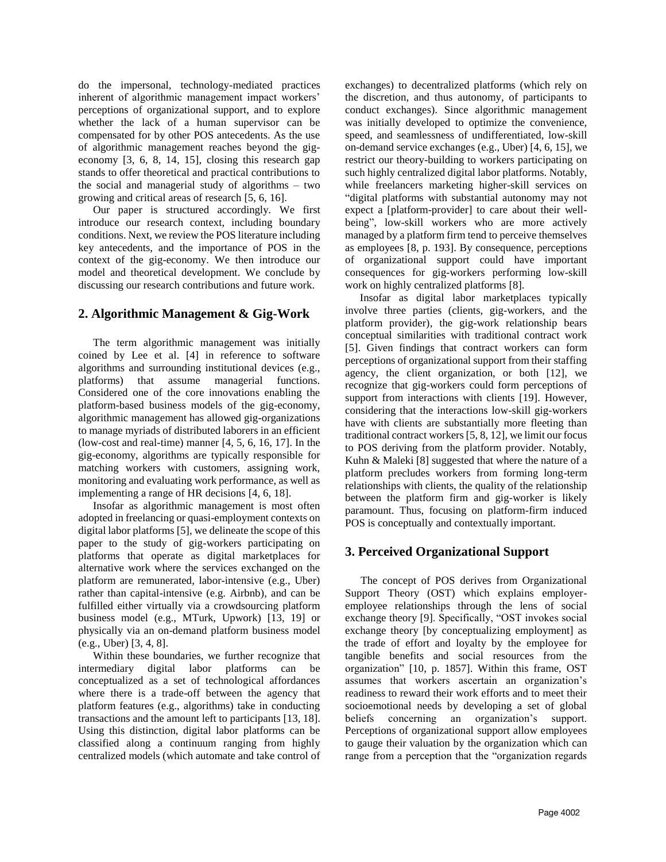do the impersonal, technology-mediated practices inherent of algorithmic management impact workers' perceptions of organizational support, and to explore whether the lack of a human supervisor can be compensated for by other POS antecedents. As the use of algorithmic management reaches beyond the gigeconomy [3, 6, 8, 14, 15], closing this research gap stands to offer theoretical and practical contributions to the social and managerial study of algorithms – two growing and critical areas of research [5, 6, 16].

Our paper is structured accordingly. We first introduce our research context, including boundary conditions. Next, we review the POS literature including key antecedents, and the importance of POS in the context of the gig-economy. We then introduce our model and theoretical development. We conclude by discussing our research contributions and future work.

# **2. Algorithmic Management & Gig-Work**

The term algorithmic management was initially coined by Lee et al. [4] in reference to software algorithms and surrounding institutional devices (e.g., platforms) that assume managerial functions. Considered one of the core innovations enabling the platform-based business models of the gig-economy, algorithmic management has allowed gig-organizations to manage myriads of distributed laborers in an efficient (low-cost and real-time) manner [4, 5, 6, 16, 17]. In the gig-economy, algorithms are typically responsible for matching workers with customers, assigning work, monitoring and evaluating work performance, as well as implementing a range of HR decisions [4, 6, 18].

Insofar as algorithmic management is most often adopted in freelancing or quasi-employment contexts on digital labor platforms [5], we delineate the scope of this paper to the study of gig-workers participating on platforms that operate as digital marketplaces for alternative work where the services exchanged on the platform are remunerated, labor-intensive (e.g., Uber) rather than capital-intensive (e.g. Airbnb), and can be fulfilled either virtually via a crowdsourcing platform business model (e.g., MTurk, Upwork) [13, 19] or physically via an on-demand platform business model (e.g., Uber) [3, 4, 8].

Within these boundaries, we further recognize that intermediary digital labor platforms can be conceptualized as a set of technological affordances where there is a trade-off between the agency that platform features (e.g., algorithms) take in conducting transactions and the amount left to participants [13, 18]. Using this distinction, digital labor platforms can be classified along a continuum ranging from highly centralized models (which automate and take control of

exchanges) to decentralized platforms (which rely on the discretion, and thus autonomy, of participants to conduct exchanges). Since algorithmic management was initially developed to optimize the convenience, speed, and seamlessness of undifferentiated, low-skill on-demand service exchanges (e.g., Uber) [4, 6, 15], we restrict our theory-building to workers participating on such highly centralized digital labor platforms. Notably, while freelancers marketing higher-skill services on "digital platforms with substantial autonomy may not expect a [platform-provider] to care about their wellbeing", low-skill workers who are more actively managed by a platform firm tend to perceive themselves as employees [8, p. 193]. By consequence, perceptions of organizational support could have important consequences for gig-workers performing low-skill work on highly centralized platforms [8].

Insofar as digital labor marketplaces typically involve three parties (clients, gig-workers, and the platform provider), the gig-work relationship bears conceptual similarities with traditional contract work [5]. Given findings that contract workers can form perceptions of organizational support from their staffing agency, the client organization, or both [12], we recognize that gig-workers could form perceptions of support from interactions with clients [19]. However, considering that the interactions low-skill gig-workers have with clients are substantially more fleeting than traditional contract workers [5, 8, 12], we limit our focus to POS deriving from the platform provider. Notably, Kuhn & Maleki [8] suggested that where the nature of a platform precludes workers from forming long-term relationships with clients, the quality of the relationship between the platform firm and gig-worker is likely paramount. Thus, focusing on platform-firm induced POS is conceptually and contextually important.

# **3. Perceived Organizational Support**

The concept of POS derives from Organizational Support Theory (OST) which explains employeremployee relationships through the lens of social exchange theory [9]. Specifically, "OST invokes social exchange theory [by conceptualizing employment] as the trade of effort and loyalty by the employee for tangible benefits and social resources from the organization" [10, p. 1857]. Within this frame, OST assumes that workers ascertain an organization's readiness to reward their work efforts and to meet their socioemotional needs by developing a set of global beliefs concerning an organization's support. Perceptions of organizational support allow employees to gauge their valuation by the organization which can range from a perception that the "organization regards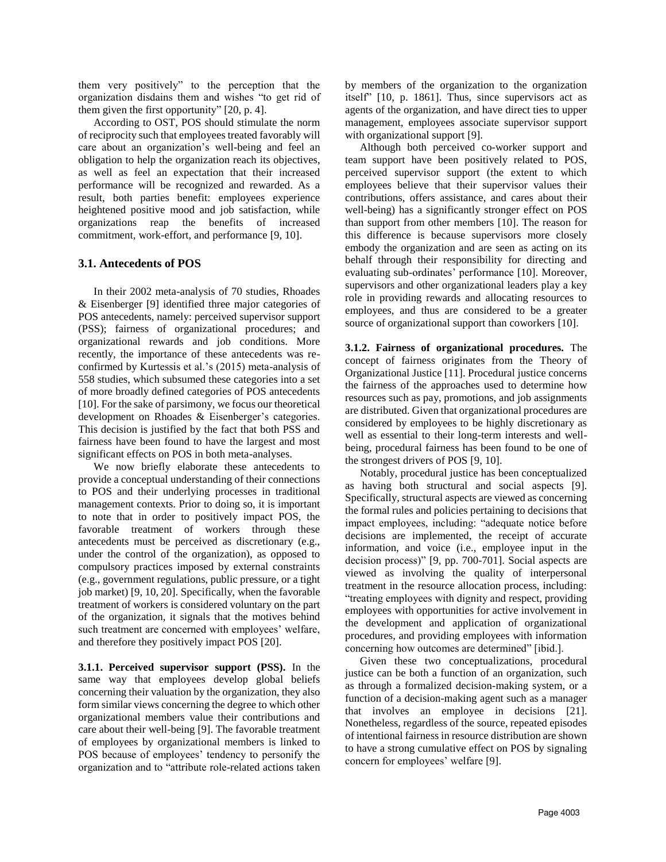them very positively" to the perception that the organization disdains them and wishes "to get rid of them given the first opportunity" [20, p. 4].

According to OST, POS should stimulate the norm of reciprocity such that employees treated favorably will care about an organization's well-being and feel an obligation to help the organization reach its objectives, as well as feel an expectation that their increased performance will be recognized and rewarded. As a result, both parties benefit: employees experience heightened positive mood and job satisfaction, while organizations reap the benefits of increased commitment, work-effort, and performance [9, 10].

#### **3.1. Antecedents of POS**

In their 2002 meta-analysis of 70 studies, Rhoades & Eisenberger [9] identified three major categories of POS antecedents, namely: perceived supervisor support (PSS); fairness of organizational procedures; and organizational rewards and job conditions. More recently, the importance of these antecedents was reconfirmed by Kurtessis et al.'s (2015) meta-analysis of 558 studies, which subsumed these categories into a set of more broadly defined categories of POS antecedents [10]. For the sake of parsimony, we focus our theoretical development on Rhoades & Eisenberger's categories. This decision is justified by the fact that both PSS and fairness have been found to have the largest and most significant effects on POS in both meta-analyses.

We now briefly elaborate these antecedents to provide a conceptual understanding of their connections to POS and their underlying processes in traditional management contexts. Prior to doing so, it is important to note that in order to positively impact POS, the favorable treatment of workers through these antecedents must be perceived as discretionary (e.g., under the control of the organization), as opposed to compulsory practices imposed by external constraints (e.g., government regulations, public pressure, or a tight job market) [9, 10, 20]. Specifically, when the favorable treatment of workers is considered voluntary on the part of the organization, it signals that the motives behind such treatment are concerned with employees' welfare, and therefore they positively impact POS [20].

**3.1.1. Perceived supervisor support (PSS).** In the same way that employees develop global beliefs concerning their valuation by the organization, they also form similar views concerning the degree to which other organizational members value their contributions and care about their well-being [9]. The favorable treatment of employees by organizational members is linked to POS because of employees' tendency to personify the organization and to "attribute role-related actions taken by members of the organization to the organization itself" [10, p. 1861]. Thus, since supervisors act as agents of the organization, and have direct ties to upper management, employees associate supervisor support with organizational support [9].

Although both perceived co-worker support and team support have been positively related to POS, perceived supervisor support (the extent to which employees believe that their supervisor values their contributions, offers assistance, and cares about their well-being) has a significantly stronger effect on POS than support from other members [10]. The reason for this difference is because supervisors more closely embody the organization and are seen as acting on its behalf through their responsibility for directing and evaluating sub-ordinates' performance [10]. Moreover, supervisors and other organizational leaders play a key role in providing rewards and allocating resources to employees, and thus are considered to be a greater source of organizational support than coworkers [10].

**3.1.2. Fairness of organizational procedures.** The concept of fairness originates from the Theory of Organizational Justice [11]. Procedural justice concerns the fairness of the approaches used to determine how resources such as pay, promotions, and job assignments are distributed. Given that organizational procedures are considered by employees to be highly discretionary as well as essential to their long-term interests and wellbeing, procedural fairness has been found to be one of the strongest drivers of POS [9, 10].

Notably, procedural justice has been conceptualized as having both structural and social aspects [9]. Specifically, structural aspects are viewed as concerning the formal rules and policies pertaining to decisions that impact employees, including: "adequate notice before decisions are implemented, the receipt of accurate information, and voice (i.e., employee input in the decision process)" [9, pp. 700-701]. Social aspects are viewed as involving the quality of interpersonal treatment in the resource allocation process, including: "treating employees with dignity and respect, providing employees with opportunities for active involvement in the development and application of organizational procedures, and providing employees with information concerning how outcomes are determined" [ibid.].

Given these two conceptualizations, procedural justice can be both a function of an organization, such as through a formalized decision-making system, or a function of a decision-making agent such as a manager that involves an employee in decisions [21]. Nonetheless, regardless of the source, repeated episodes of intentional fairness in resource distribution are shown to have a strong cumulative effect on POS by signaling concern for employees' welfare [9].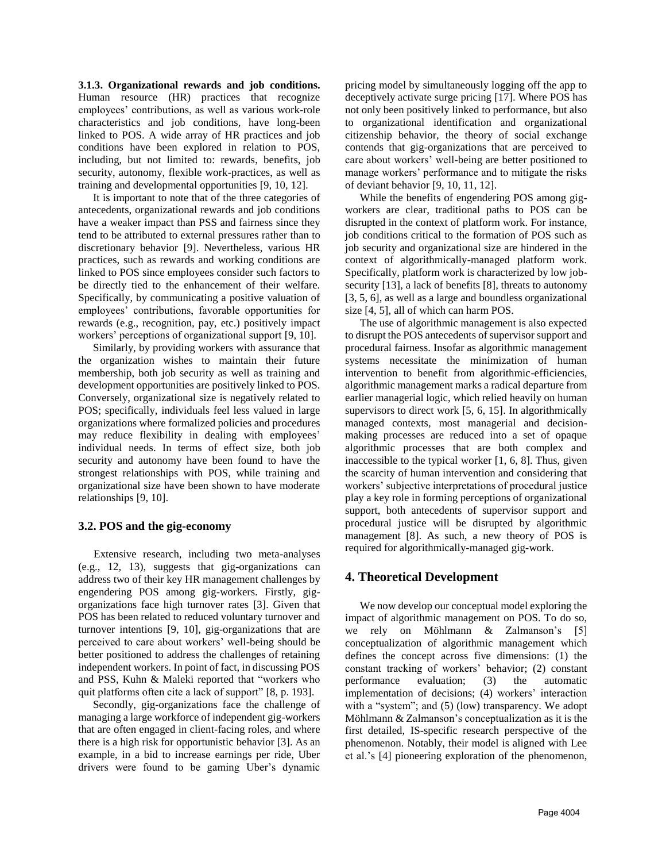**3.1.3. Organizational rewards and job conditions.**  Human resource (HR) practices that recognize employees' contributions, as well as various work-role characteristics and job conditions, have long-been linked to POS. A wide array of HR practices and job conditions have been explored in relation to POS, including, but not limited to: rewards, benefits, job security, autonomy, flexible work-practices, as well as training and developmental opportunities [9, 10, 12].

It is important to note that of the three categories of antecedents, organizational rewards and job conditions have a weaker impact than PSS and fairness since they tend to be attributed to external pressures rather than to discretionary behavior [9]. Nevertheless, various HR practices, such as rewards and working conditions are linked to POS since employees consider such factors to be directly tied to the enhancement of their welfare. Specifically, by communicating a positive valuation of employees' contributions, favorable opportunities for rewards (e.g., recognition, pay, etc.) positively impact workers' perceptions of organizational support [9, 10].

Similarly, by providing workers with assurance that the organization wishes to maintain their future membership, both job security as well as training and development opportunities are positively linked to POS. Conversely, organizational size is negatively related to POS; specifically, individuals feel less valued in large organizations where formalized policies and procedures may reduce flexibility in dealing with employees' individual needs. In terms of effect size, both job security and autonomy have been found to have the strongest relationships with POS, while training and organizational size have been shown to have moderate relationships [9, 10].

# **3.2. POS and the gig-economy**

Extensive research, including two meta-analyses (e.g., 12, 13), suggests that gig-organizations can address two of their key HR management challenges by engendering POS among gig-workers. Firstly, gigorganizations face high turnover rates [3]. Given that POS has been related to reduced voluntary turnover and turnover intentions [9, 10], gig-organizations that are perceived to care about workers' well-being should be better positioned to address the challenges of retaining independent workers. In point of fact, in discussing POS and PSS, Kuhn & Maleki reported that "workers who quit platforms often cite a lack of support" [8, p. 193].

Secondly, gig-organizations face the challenge of managing a large workforce of independent gig-workers that are often engaged in client-facing roles, and where there is a high risk for opportunistic behavior [3]. As an example, in a bid to increase earnings per ride, Uber drivers were found to be gaming Uber's dynamic

pricing model by simultaneously logging off the app to deceptively activate surge pricing [17]. Where POS has not only been positively linked to performance, but also to organizational identification and organizational citizenship behavior, the theory of social exchange contends that gig-organizations that are perceived to care about workers' well-being are better positioned to manage workers' performance and to mitigate the risks of deviant behavior [9, 10, 11, 12].

While the benefits of engendering POS among gigworkers are clear, traditional paths to POS can be disrupted in the context of platform work. For instance, job conditions critical to the formation of POS such as job security and organizational size are hindered in the context of algorithmically-managed platform work. Specifically, platform work is characterized by low jobsecurity [13], a lack of benefits [8], threats to autonomy [3, 5, 6], as well as a large and boundless organizational size [4, 5], all of which can harm POS.

The use of algorithmic management is also expected to disrupt the POS antecedents of supervisor support and procedural fairness. Insofar as algorithmic management systems necessitate the minimization of human intervention to benefit from algorithmic-efficiencies, algorithmic management marks a radical departure from earlier managerial logic, which relied heavily on human supervisors to direct work [5, 6, 15]. In algorithmically managed contexts, most managerial and decisionmaking processes are reduced into a set of opaque algorithmic processes that are both complex and inaccessible to the typical worker [1, 6, 8]. Thus, given the scarcity of human intervention and considering that workers' subjective interpretations of procedural justice play a key role in forming perceptions of organizational support, both antecedents of supervisor support and procedural justice will be disrupted by algorithmic management [8]. As such, a new theory of POS is required for algorithmically-managed gig-work.

# **4. Theoretical Development**

We now develop our conceptual model exploring the impact of algorithmic management on POS. To do so, we rely on Möhlmann & Zalmanson's [5] conceptualization of algorithmic management which defines the concept across five dimensions: (1) the constant tracking of workers' behavior; (2) constant performance evaluation; (3) the automatic implementation of decisions; (4) workers' interaction with a "system"; and (5) (low) transparency. We adopt Möhlmann & Zalmanson's conceptualization as it is the first detailed, IS-specific research perspective of the phenomenon. Notably, their model is aligned with Lee et al.'s [4] pioneering exploration of the phenomenon,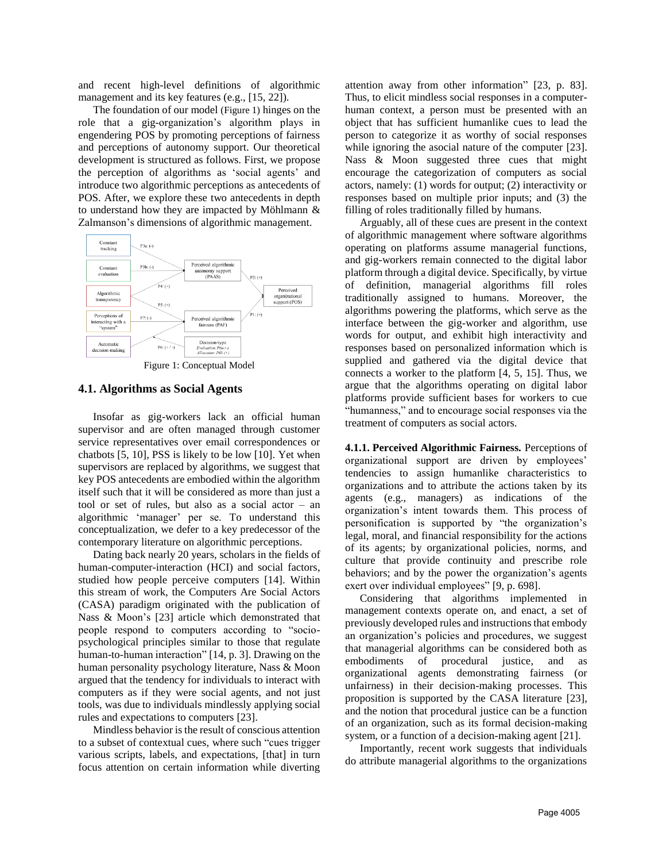and recent high-level definitions of algorithmic management and its key features (e.g., [15, 22]).

The foundation of our model (Figure 1) hinges on the role that a gig-organization's algorithm plays in engendering POS by promoting perceptions of fairness and perceptions of autonomy support. Our theoretical development is structured as follows. First, we propose the perception of algorithms as 'social agents' and introduce two algorithmic perceptions as antecedents of POS. After, we explore these two antecedents in depth to understand how they are impacted by Möhlmann & Zalmanson's dimensions of algorithmic management.



Figure 1: Conceptual Model

#### **4.1. Algorithms as Social Agents**

Insofar as gig-workers lack an official human supervisor and are often managed through customer service representatives over email correspondences or chatbots [5, 10], PSS is likely to be low [10]. Yet when supervisors are replaced by algorithms, we suggest that key POS antecedents are embodied within the algorithm itself such that it will be considered as more than just a tool or set of rules, but also as a social actor – an algorithmic 'manager' per se. To understand this conceptualization, we defer to a key predecessor of the contemporary literature on algorithmic perceptions.

Dating back nearly 20 years, scholars in the fields of human-computer-interaction (HCI) and social factors, studied how people perceive computers [14]. Within this stream of work, the Computers Are Social Actors (CASA) paradigm originated with the publication of Nass & Moon's [23] article which demonstrated that people respond to computers according to "sociopsychological principles similar to those that regulate human-to-human interaction" [14, p. 3]. Drawing on the human personality psychology literature, Nass & Moon argued that the tendency for individuals to interact with computers as if they were social agents, and not just tools, was due to individuals mindlessly applying social rules and expectations to computers [23].

Mindless behavior is the result of conscious attention to a subset of contextual cues, where such "cues trigger various scripts, labels, and expectations, [that] in turn focus attention on certain information while diverting attention away from other information" [23, p. 83]. Thus, to elicit mindless social responses in a computerhuman context, a person must be presented with an object that has sufficient humanlike cues to lead the person to categorize it as worthy of social responses while ignoring the asocial nature of the computer [23]. Nass & Moon suggested three cues that might encourage the categorization of computers as social actors, namely: (1) words for output; (2) interactivity or responses based on multiple prior inputs; and (3) the filling of roles traditionally filled by humans.

Arguably, all of these cues are present in the context of algorithmic management where software algorithms operating on platforms assume managerial functions, and gig-workers remain connected to the digital labor platform through a digital device. Specifically, by virtue of definition, managerial algorithms fill roles traditionally assigned to humans. Moreover, the algorithms powering the platforms, which serve as the interface between the gig-worker and algorithm, use words for output, and exhibit high interactivity and responses based on personalized information which is supplied and gathered via the digital device that connects a worker to the platform [4, 5, 15]. Thus, we argue that the algorithms operating on digital labor platforms provide sufficient bases for workers to cue "humanness," and to encourage social responses via the treatment of computers as social actors.

**4.1.1. Perceived Algorithmic Fairness.** Perceptions of organizational support are driven by employees' tendencies to assign humanlike characteristics to organizations and to attribute the actions taken by its agents (e.g., managers) as indications of the organization's intent towards them. This process of personification is supported by "the organization's legal, moral, and financial responsibility for the actions of its agents; by organizational policies, norms, and culture that provide continuity and prescribe role behaviors; and by the power the organization's agents exert over individual employees" [9, p. 698].

Considering that algorithms implemented in management contexts operate on, and enact, a set of previously developed rules and instructions that embody an organization's policies and procedures, we suggest that managerial algorithms can be considered both as embodiments of procedural justice, and as organizational agents demonstrating fairness (or unfairness) in their decision-making processes. This proposition is supported by the CASA literature [23], and the notion that procedural justice can be a function of an organization, such as its formal decision-making system, or a function of a decision-making agent [21].

Importantly, recent work suggests that individuals do attribute managerial algorithms to the organizations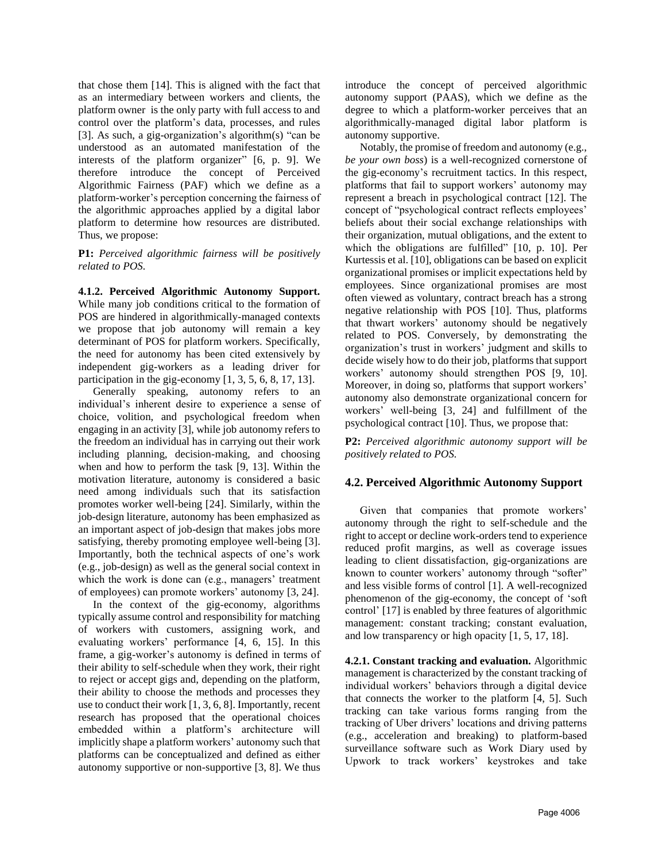that chose them [14]. This is aligned with the fact that as an intermediary between workers and clients, the platform owner is the only party with full access to and control over the platform's data, processes, and rules [3]. As such, a gig-organization's algorithm(s) "can be understood as an automated manifestation of the interests of the platform organizer" [6, p. 9]. We therefore introduce the concept of Perceived Algorithmic Fairness (PAF) which we define as a platform-worker's perception concerning the fairness of the algorithmic approaches applied by a digital labor platform to determine how resources are distributed. Thus, we propose:

### **P1:** *Perceived algorithmic fairness will be positively related to POS.*

**4.1.2. Perceived Algorithmic Autonomy Support.**  While many job conditions critical to the formation of POS are hindered in algorithmically-managed contexts we propose that job autonomy will remain a key determinant of POS for platform workers. Specifically, the need for autonomy has been cited extensively by independent gig-workers as a leading driver for participation in the gig-economy [1, 3, 5, 6, 8, 17, 13].

Generally speaking, autonomy refers to an individual's inherent desire to experience a sense of choice, volition, and psychological freedom when engaging in an activity [3], while job autonomy refers to the freedom an individual has in carrying out their work including planning, decision-making, and choosing when and how to perform the task [9, 13]. Within the motivation literature, autonomy is considered a basic need among individuals such that its satisfaction promotes worker well-being [24]. Similarly, within the job-design literature, autonomy has been emphasized as an important aspect of job-design that makes jobs more satisfying, thereby promoting employee well-being [3]. Importantly, both the technical aspects of one's work (e.g., job-design) as well as the general social context in which the work is done can (e.g., managers' treatment of employees) can promote workers' autonomy [3, 24].

In the context of the gig-economy, algorithms typically assume control and responsibility for matching of workers with customers, assigning work, and evaluating workers' performance [4, 6, 15]. In this frame, a gig-worker's autonomy is defined in terms of their ability to self-schedule when they work, their right to reject or accept gigs and, depending on the platform, their ability to choose the methods and processes they use to conduct their work [1, 3, 6, 8]. Importantly, recent research has proposed that the operational choices embedded within a platform's architecture will implicitly shape a platform workers' autonomy such that platforms can be conceptualized and defined as either autonomy supportive or non-supportive [3, 8]. We thus

introduce the concept of perceived algorithmic autonomy support (PAAS), which we define as the degree to which a platform-worker perceives that an algorithmically-managed digital labor platform is autonomy supportive.

Notably, the promise of freedom and autonomy (e.g., *be your own boss*) is a well-recognized cornerstone of the gig-economy's recruitment tactics. In this respect, platforms that fail to support workers' autonomy may represent a breach in psychological contract [12]. The concept of "psychological contract reflects employees' beliefs about their social exchange relationships with their organization, mutual obligations, and the extent to which the obligations are fulfilled" [10, p. 10]. Per Kurtessis et al. [10], obligations can be based on explicit organizational promises or implicit expectations held by employees. Since organizational promises are most often viewed as voluntary, contract breach has a strong negative relationship with POS [10]. Thus, platforms that thwart workers' autonomy should be negatively related to POS. Conversely, by demonstrating the organization's trust in workers' judgment and skills to decide wisely how to do their job, platforms that support workers' autonomy should strengthen POS [9, 10]. Moreover, in doing so, platforms that support workers' autonomy also demonstrate organizational concern for workers' well-being [3, 24] and fulfillment of the psychological contract [10]. Thus, we propose that:

**P2:** *Perceived algorithmic autonomy support will be positively related to POS.*

# **4.2. Perceived Algorithmic Autonomy Support**

Given that companies that promote workers' autonomy through the right to self-schedule and the right to accept or decline work-orders tend to experience reduced profit margins, as well as coverage issues leading to client dissatisfaction, gig-organizations are known to counter workers' autonomy through "softer" and less visible forms of control [1]. A well-recognized phenomenon of the gig-economy, the concept of 'soft control' [17] is enabled by three features of algorithmic management: constant tracking; constant evaluation, and low transparency or high opacity [1, 5, 17, 18].

**4.2.1. Constant tracking and evaluation.** Algorithmic management is characterized by the constant tracking of individual workers' behaviors through a digital device that connects the worker to the platform [4, 5]. Such tracking can take various forms ranging from the tracking of Uber drivers' locations and driving patterns (e.g., acceleration and breaking) to platform-based surveillance software such as Work Diary used by Upwork to track workers' keystrokes and take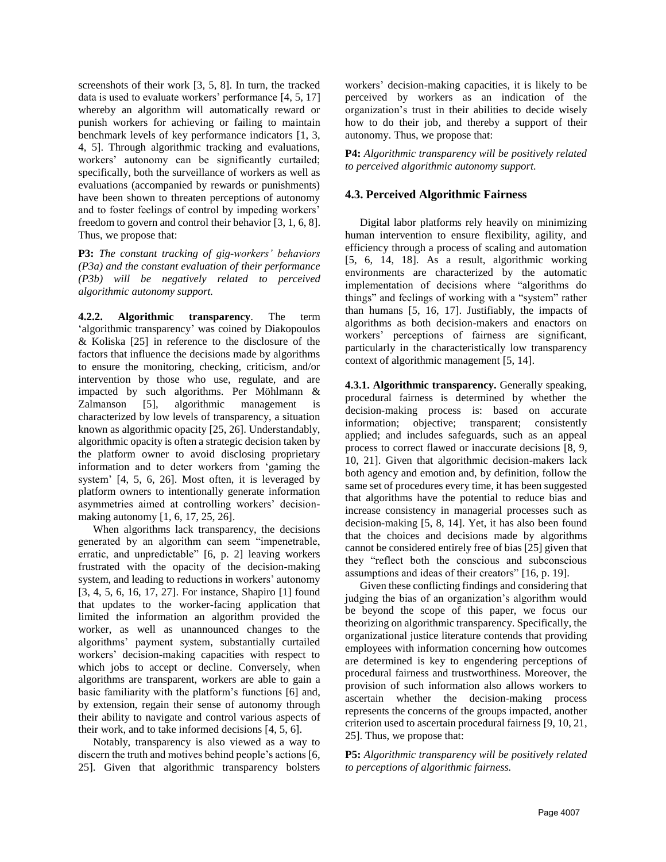screenshots of their work [3, 5, 8]. In turn, the tracked data is used to evaluate workers' performance [4, 5, 17] whereby an algorithm will automatically reward or punish workers for achieving or failing to maintain benchmark levels of key performance indicators [1, 3, 4, 5]. Through algorithmic tracking and evaluations, workers' autonomy can be significantly curtailed; specifically, both the surveillance of workers as well as evaluations (accompanied by rewards or punishments) have been shown to threaten perceptions of autonomy and to foster feelings of control by impeding workers' freedom to govern and control their behavior [3, 1, 6, 8]. Thus, we propose that:

**P3:** *The constant tracking of gig-workers' behaviors (P3a) and the constant evaluation of their performance (P3b) will be negatively related to perceived algorithmic autonomy support.*

**4.2.2. Algorithmic transparency**. The term 'algorithmic transparency' was coined by Diakopoulos & Koliska [25] in reference to the disclosure of the factors that influence the decisions made by algorithms to ensure the monitoring, checking, criticism, and/or intervention by those who use, regulate, and are impacted by such algorithms. Per Möhlmann & Zalmanson [5], algorithmic management is characterized by low levels of transparency, a situation known as algorithmic opacity [25, 26]. Understandably, algorithmic opacity is often a strategic decision taken by the platform owner to avoid disclosing proprietary information and to deter workers from 'gaming the system' [4, 5, 6, 26]. Most often, it is leveraged by platform owners to intentionally generate information asymmetries aimed at controlling workers' decisionmaking autonomy [1, 6, 17, 25, 26].

When algorithms lack transparency, the decisions generated by an algorithm can seem "impenetrable, erratic, and unpredictable" [6, p. 2] leaving workers frustrated with the opacity of the decision-making system, and leading to reductions in workers' autonomy [3, 4, 5, 6, 16, 17, 27]. For instance, Shapiro [1] found that updates to the worker-facing application that limited the information an algorithm provided the worker, as well as unannounced changes to the algorithms' payment system, substantially curtailed workers' decision-making capacities with respect to which jobs to accept or decline. Conversely, when algorithms are transparent, workers are able to gain a basic familiarity with the platform's functions [6] and, by extension, regain their sense of autonomy through their ability to navigate and control various aspects of their work, and to take informed decisions [4, 5, 6].

Notably, transparency is also viewed as a way to discern the truth and motives behind people's actions [6, 25]. Given that algorithmic transparency bolsters

workers' decision-making capacities, it is likely to be perceived by workers as an indication of the organization's trust in their abilities to decide wisely how to do their job, and thereby a support of their autonomy. Thus, we propose that:

**P4:** *Algorithmic transparency will be positively related to perceived algorithmic autonomy support.*

# **4.3. Perceived Algorithmic Fairness**

Digital labor platforms rely heavily on minimizing human intervention to ensure flexibility, agility, and efficiency through a process of scaling and automation [5, 6, 14, 18]. As a result, algorithmic working environments are characterized by the automatic implementation of decisions where "algorithms do things" and feelings of working with a "system" rather than humans [5, 16, 17]. Justifiably, the impacts of algorithms as both decision-makers and enactors on workers' perceptions of fairness are significant, particularly in the characteristically low transparency context of algorithmic management [5, 14].

**4.3.1. Algorithmic transparency.** Generally speaking, procedural fairness is determined by whether the decision-making process is: based on accurate information; objective; transparent; consistently applied; and includes safeguards, such as an appeal process to correct flawed or inaccurate decisions [8, 9, 10, 21]. Given that algorithmic decision-makers lack both agency and emotion and, by definition, follow the same set of procedures every time, it has been suggested that algorithms have the potential to reduce bias and increase consistency in managerial processes such as decision-making [5, 8, 14]. Yet, it has also been found that the choices and decisions made by algorithms cannot be considered entirely free of bias [25] given that they "reflect both the conscious and subconscious assumptions and ideas of their creators" [16, p. 19].

Given these conflicting findings and considering that judging the bias of an organization's algorithm would be beyond the scope of this paper, we focus our theorizing on algorithmic transparency. Specifically, the organizational justice literature contends that providing employees with information concerning how outcomes are determined is key to engendering perceptions of procedural fairness and trustworthiness. Moreover, the provision of such information also allows workers to ascertain whether the decision-making process represents the concerns of the groups impacted, another criterion used to ascertain procedural fairness [9, 10, 21, 25]. Thus, we propose that:

**P5:** *Algorithmic transparency will be positively related to perceptions of algorithmic fairness.*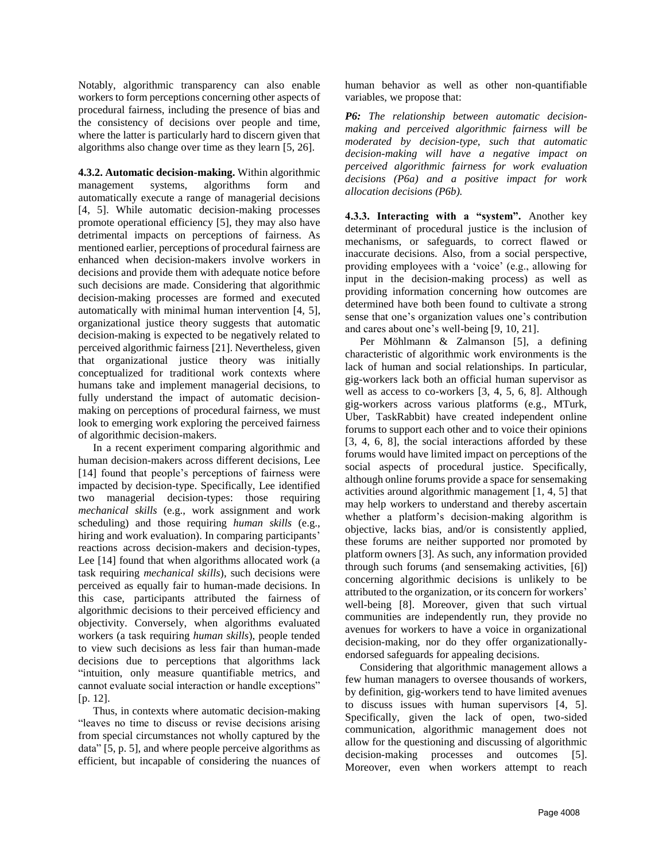Notably, algorithmic transparency can also enable workers to form perceptions concerning other aspects of procedural fairness, including the presence of bias and the consistency of decisions over people and time, where the latter is particularly hard to discern given that algorithms also change over time as they learn [5, 26].

**4.3.2. Automatic decision-making.** Within algorithmic management systems, algorithms form and management systems, algorithms form and automatically execute a range of managerial decisions [4, 5]. While automatic decision-making processes promote operational efficiency [5], they may also have detrimental impacts on perceptions of fairness. As mentioned earlier, perceptions of procedural fairness are enhanced when decision-makers involve workers in decisions and provide them with adequate notice before such decisions are made. Considering that algorithmic decision-making processes are formed and executed automatically with minimal human intervention [4, 5], organizational justice theory suggests that automatic decision-making is expected to be negatively related to perceived algorithmic fairness [21]. Nevertheless, given that organizational justice theory was initially conceptualized for traditional work contexts where humans take and implement managerial decisions, to fully understand the impact of automatic decisionmaking on perceptions of procedural fairness, we must look to emerging work exploring the perceived fairness of algorithmic decision-makers.

In a recent experiment comparing algorithmic and human decision-makers across different decisions, Lee [14] found that people's perceptions of fairness were impacted by decision-type. Specifically, Lee identified two managerial decision-types: those requiring *mechanical skills* (e.g., work assignment and work scheduling) and those requiring *human skills* (e.g., hiring and work evaluation). In comparing participants' reactions across decision-makers and decision-types, Lee [14] found that when algorithms allocated work (a task requiring *mechanical skills*), such decisions were perceived as equally fair to human-made decisions. In this case, participants attributed the fairness of algorithmic decisions to their perceived efficiency and objectivity. Conversely, when algorithms evaluated workers (a task requiring *human skills*), people tended to view such decisions as less fair than human-made decisions due to perceptions that algorithms lack "intuition, only measure quantifiable metrics, and cannot evaluate social interaction or handle exceptions" [p. 12].

Thus, in contexts where automatic decision-making "leaves no time to discuss or revise decisions arising from special circumstances not wholly captured by the data" [5, p. 5], and where people perceive algorithms as efficient, but incapable of considering the nuances of human behavior as well as other non-quantifiable variables, we propose that:

*P6: The relationship between automatic decisionmaking and perceived algorithmic fairness will be moderated by decision-type, such that automatic decision-making will have a negative impact on perceived algorithmic fairness for work evaluation decisions (P6a) and a positive impact for work allocation decisions (P6b).* 

**4.3.3. Interacting with a "system".** Another key determinant of procedural justice is the inclusion of mechanisms, or safeguards, to correct flawed or inaccurate decisions. Also, from a social perspective, providing employees with a 'voice' (e.g., allowing for input in the decision-making process) as well as providing information concerning how outcomes are determined have both been found to cultivate a strong sense that one's organization values one's contribution and cares about one's well-being [9, 10, 21].

Per Möhlmann & Zalmanson [5], a defining characteristic of algorithmic work environments is the lack of human and social relationships. In particular, gig-workers lack both an official human supervisor as well as access to co-workers [3, 4, 5, 6, 8]. Although gig-workers across various platforms (e.g., MTurk, Uber, TaskRabbit) have created independent online forums to support each other and to voice their opinions [3, 4, 6, 8], the social interactions afforded by these forums would have limited impact on perceptions of the social aspects of procedural justice. Specifically, although online forums provide a space for sensemaking activities around algorithmic management [1, 4, 5] that may help workers to understand and thereby ascertain whether a platform's decision-making algorithm is objective, lacks bias, and/or is consistently applied, these forums are neither supported nor promoted by platform owners [3]. As such, any information provided through such forums (and sensemaking activities, [6]) concerning algorithmic decisions is unlikely to be attributed to the organization, or its concern for workers' well-being [8]. Moreover, given that such virtual communities are independently run, they provide no avenues for workers to have a voice in organizational decision-making, nor do they offer organizationallyendorsed safeguards for appealing decisions.

Considering that algorithmic management allows a few human managers to oversee thousands of workers, by definition, gig-workers tend to have limited avenues to discuss issues with human supervisors [4, 5]. Specifically, given the lack of open, two-sided communication, algorithmic management does not allow for the questioning and discussing of algorithmic decision-making processes and outcomes [5]. Moreover, even when workers attempt to reach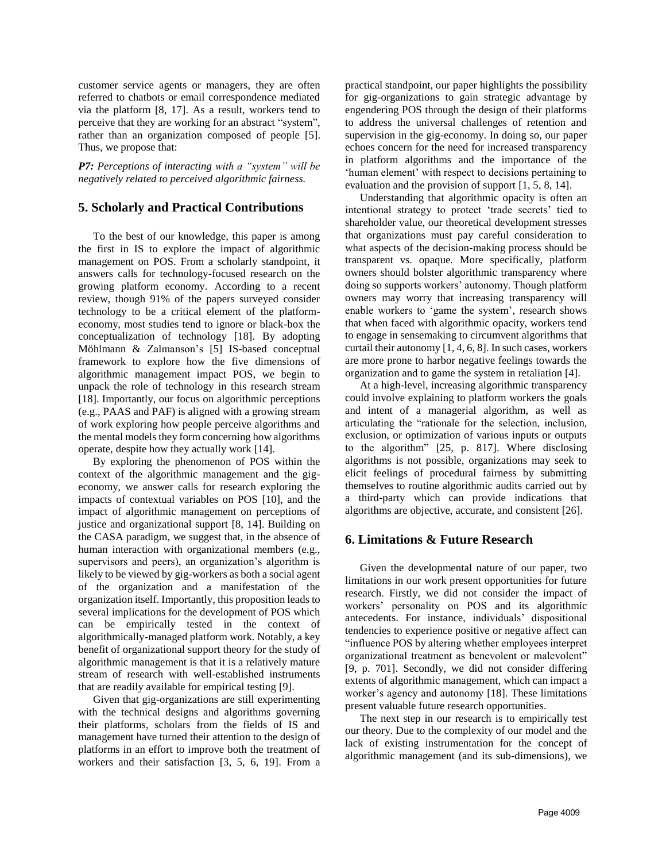customer service agents or managers, they are often referred to chatbots or email correspondence mediated via the platform [8, 17]. As a result, workers tend to perceive that they are working for an abstract "system", rather than an organization composed of people [5]. Thus, we propose that:

*P7: Perceptions of interacting with a "system" will be negatively related to perceived algorithmic fairness.*

# **5. Scholarly and Practical Contributions**

To the best of our knowledge, this paper is among the first in IS to explore the impact of algorithmic management on POS. From a scholarly standpoint, it answers calls for technology-focused research on the growing platform economy. According to a recent review, though 91% of the papers surveyed consider technology to be a critical element of the platformeconomy, most studies tend to ignore or black-box the conceptualization of technology [18]. By adopting Möhlmann & Zalmanson's [5] IS-based conceptual framework to explore how the five dimensions of algorithmic management impact POS, we begin to unpack the role of technology in this research stream [18]. Importantly, our focus on algorithmic perceptions (e.g., PAAS and PAF) is aligned with a growing stream of work exploring how people perceive algorithms and the mental models they form concerning how algorithms operate, despite how they actually work [14].

By exploring the phenomenon of POS within the context of the algorithmic management and the gigeconomy, we answer calls for research exploring the impacts of contextual variables on POS [10], and the impact of algorithmic management on perceptions of justice and organizational support [8, 14]. Building on the CASA paradigm, we suggest that, in the absence of human interaction with organizational members (e.g., supervisors and peers), an organization's algorithm is likely to be viewed by gig-workers as both a social agent of the organization and a manifestation of the organization itself. Importantly, this proposition leads to several implications for the development of POS which can be empirically tested in the context of algorithmically-managed platform work. Notably, a key benefit of organizational support theory for the study of algorithmic management is that it is a relatively mature stream of research with well-established instruments that are readily available for empirical testing [9].

Given that gig-organizations are still experimenting with the technical designs and algorithms governing their platforms, scholars from the fields of IS and management have turned their attention to the design of platforms in an effort to improve both the treatment of workers and their satisfaction [3, 5, 6, 19]. From a practical standpoint, our paper highlights the possibility for gig-organizations to gain strategic advantage by engendering POS through the design of their platforms to address the universal challenges of retention and supervision in the gig-economy. In doing so, our paper echoes concern for the need for increased transparency in platform algorithms and the importance of the 'human element' with respect to decisions pertaining to evaluation and the provision of support [1, 5, 8, 14].

Understanding that algorithmic opacity is often an intentional strategy to protect 'trade secrets' tied to shareholder value, our theoretical development stresses that organizations must pay careful consideration to what aspects of the decision-making process should be transparent vs. opaque. More specifically, platform owners should bolster algorithmic transparency where doing so supports workers' autonomy. Though platform owners may worry that increasing transparency will enable workers to 'game the system', research shows that when faced with algorithmic opacity, workers tend to engage in sensemaking to circumvent algorithms that curtail their autonomy [1, 4, 6, 8]. In such cases, workers are more prone to harbor negative feelings towards the organization and to game the system in retaliation [4].

At a high-level, increasing algorithmic transparency could involve explaining to platform workers the goals and intent of a managerial algorithm, as well as articulating the "rationale for the selection, inclusion, exclusion, or optimization of various inputs or outputs to the algorithm" [25, p. 817]. Where disclosing algorithms is not possible, organizations may seek to elicit feelings of procedural fairness by submitting themselves to routine algorithmic audits carried out by a third-party which can provide indications that algorithms are objective, accurate, and consistent [26].

# **6. Limitations & Future Research**

Given the developmental nature of our paper, two limitations in our work present opportunities for future research. Firstly, we did not consider the impact of workers' personality on POS and its algorithmic antecedents. For instance, individuals' dispositional tendencies to experience positive or negative affect can "influence POS by altering whether employees interpret organizational treatment as benevolent or malevolent" [9, p. 701]. Secondly, we did not consider differing extents of algorithmic management, which can impact a worker's agency and autonomy [18]. These limitations present valuable future research opportunities.

The next step in our research is to empirically test our theory. Due to the complexity of our model and the lack of existing instrumentation for the concept of algorithmic management (and its sub-dimensions), we